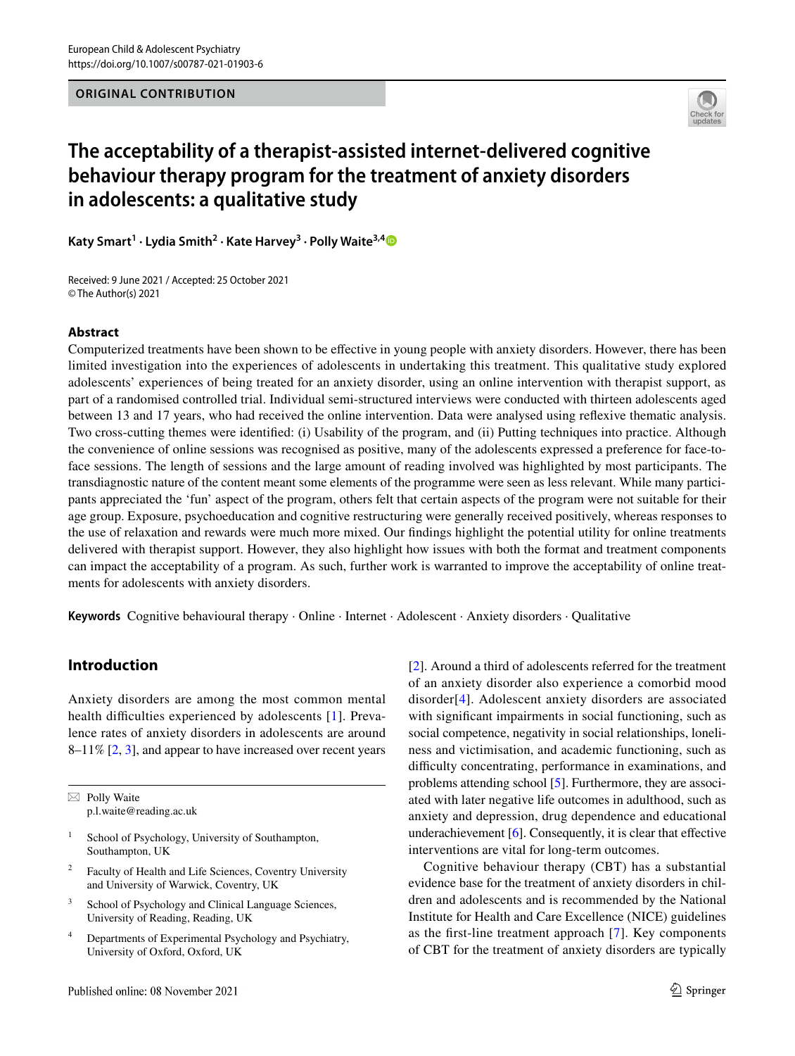

# **The acceptability of a therapist‑assisted internet‑delivered cognitive behaviour therapy program for the treatment of anxiety disorders in adolescents: a qualitative study**

**Katy Smart<sup>1</sup> · Lydia Smith2 · Kate Harvey3 · Polly Waite3,[4](http://orcid.org/0000-0002-1967-8028)**

Received: 9 June 2021 / Accepted: 25 October 2021 © The Author(s) 2021

# **Abstract**

Computerized treatments have been shown to be efective in young people with anxiety disorders. However, there has been limited investigation into the experiences of adolescents in undertaking this treatment. This qualitative study explored adolescents' experiences of being treated for an anxiety disorder, using an online intervention with therapist support, as part of a randomised controlled trial. Individual semi-structured interviews were conducted with thirteen adolescents aged between 13 and 17 years, who had received the online intervention. Data were analysed using refexive thematic analysis. Two cross-cutting themes were identifed: (i) Usability of the program, and (ii) Putting techniques into practice. Although the convenience of online sessions was recognised as positive, many of the adolescents expressed a preference for face-toface sessions. The length of sessions and the large amount of reading involved was highlighted by most participants. The transdiagnostic nature of the content meant some elements of the programme were seen as less relevant. While many participants appreciated the 'fun' aspect of the program, others felt that certain aspects of the program were not suitable for their age group. Exposure, psychoeducation and cognitive restructuring were generally received positively, whereas responses to the use of relaxation and rewards were much more mixed. Our fndings highlight the potential utility for online treatments delivered with therapist support. However, they also highlight how issues with both the format and treatment components can impact the acceptability of a program. As such, further work is warranted to improve the acceptability of online treatments for adolescents with anxiety disorders.

**Keywords** Cognitive behavioural therapy · Online · Internet · Adolescent · Anxiety disorders · Qualitative

# **Introduction**

Anxiety disorders are among the most common mental health difficulties experienced by adolescents [[1](#page-10-0)]. Prevalence rates of anxiety disorders in adolescents are around 8–11% [[2,](#page-10-1) [3\]](#page-10-2), and appear to have increased over recent years

 $\boxtimes$  Polly Waite p.l.waite@reading.ac.uk

- School of Psychology, University of Southampton, Southampton, UK
- <sup>2</sup> Faculty of Health and Life Sciences, Coventry University and University of Warwick, Coventry, UK
- <sup>3</sup> School of Psychology and Clinical Language Sciences, University of Reading, Reading, UK
- <sup>4</sup> Departments of Experimental Psychology and Psychiatry, University of Oxford, Oxford, UK

[[2\]](#page-10-1). Around a third of adolescents referred for the treatment of an anxiety disorder also experience a comorbid mood disorder[[4](#page-10-3)]. Adolescent anxiety disorders are associated with significant impairments in social functioning, such as social competence, negativity in social relationships, loneliness and victimisation, and academic functioning, such as difficulty concentrating, performance in examinations, and problems attending school [[5\]](#page-10-4). Furthermore, they are associated with later negative life outcomes in adulthood, such as anxiety and depression, drug dependence and educational underachievement  $[6]$  $[6]$ . Consequently, it is clear that effective interventions are vital for long-term outcomes.

Cognitive behaviour therapy (CBT) has a substantial evidence base for the treatment of anxiety disorders in children and adolescents and is recommended by the National Institute for Health and Care Excellence (NICE) guidelines as the frst-line treatment approach [[7\]](#page-11-0). Key components of CBT for the treatment of anxiety disorders are typically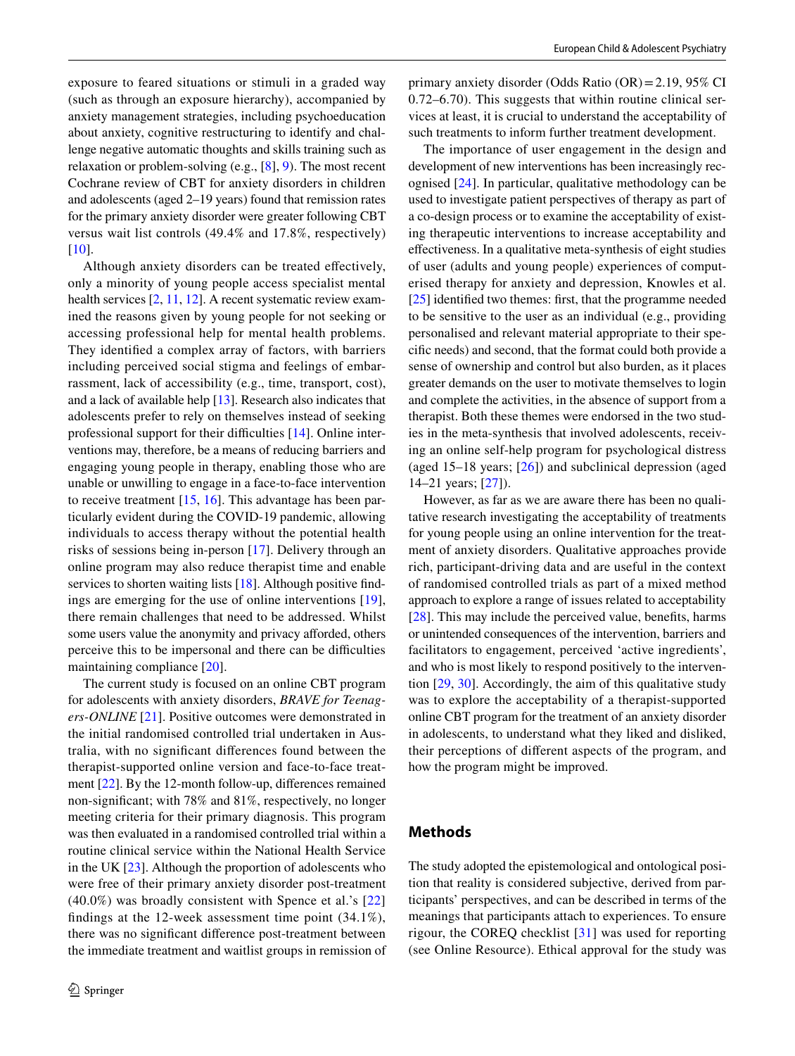exposure to feared situations or stimuli in a graded way (such as through an exposure hierarchy), accompanied by anxiety management strategies, including psychoeducation about anxiety, cognitive restructuring to identify and challenge negative automatic thoughts and skills training such as relaxation or problem-solving (e.g., [[8\]](#page-11-1), [9\)](#page-11-2). The most recent Cochrane review of CBT for anxiety disorders in children and adolescents (aged 2–19 years) found that remission rates for the primary anxiety disorder were greater following CBT versus wait list controls (49.4% and 17.8%, respectively) [\[10\]](#page-11-3).

Although anxiety disorders can be treated efectively, only a minority of young people access specialist mental health services [[2,](#page-10-1) [11](#page-11-4), [12\]](#page-11-5). A recent systematic review examined the reasons given by young people for not seeking or accessing professional help for mental health problems. They identifed a complex array of factors, with barriers including perceived social stigma and feelings of embarrassment, lack of accessibility (e.g., time, transport, cost), and a lack of available help [[13\]](#page-11-6). Research also indicates that adolescents prefer to rely on themselves instead of seeking professional support for their difficulties  $[14]$  $[14]$ . Online interventions may, therefore, be a means of reducing barriers and engaging young people in therapy, enabling those who are unable or unwilling to engage in a face-to-face intervention to receive treatment [\[15](#page-11-8), [16\]](#page-11-9). This advantage has been particularly evident during the COVID-19 pandemic, allowing individuals to access therapy without the potential health risks of sessions being in-person [[17](#page-11-10)]. Delivery through an online program may also reduce therapist time and enable services to shorten waiting lists [[18](#page-11-11)]. Although positive findings are emerging for the use of online interventions [[19](#page-11-12)], there remain challenges that need to be addressed. Whilst some users value the anonymity and privacy afforded, others perceive this to be impersonal and there can be difficulties maintaining compliance [\[20](#page-11-13)].

The current study is focused on an online CBT program for adolescents with anxiety disorders, *BRAVE for Teenagers-ONLINE* [\[21](#page-11-14)]. Positive outcomes were demonstrated in the initial randomised controlled trial undertaken in Australia, with no signifcant diferences found between the therapist-supported online version and face-to-face treatment [\[22](#page-11-15)]. By the 12-month follow-up, diferences remained non-signifcant; with 78% and 81%, respectively, no longer meeting criteria for their primary diagnosis. This program was then evaluated in a randomised controlled trial within a routine clinical service within the National Health Service in the UK [[23\]](#page-11-16). Although the proportion of adolescents who were free of their primary anxiety disorder post-treatment (40.0%) was broadly consistent with Spence et al.'s [\[22\]](#page-11-15) fndings at the 12-week assessment time point (34.1%), there was no signifcant diference post-treatment between the immediate treatment and waitlist groups in remission of primary anxiety disorder (Odds Ratio (OR)=2.19, 95% CI 0.72–6.70). This suggests that within routine clinical services at least, it is crucial to understand the acceptability of such treatments to inform further treatment development.

The importance of user engagement in the design and development of new interventions has been increasingly recognised [[24\]](#page-11-17). In particular, qualitative methodology can be used to investigate patient perspectives of therapy as part of a co-design process or to examine the acceptability of existing therapeutic interventions to increase acceptability and efectiveness. In a qualitative meta-synthesis of eight studies of user (adults and young people) experiences of computerised therapy for anxiety and depression, Knowles et al. [\[25](#page-11-18)] identifed two themes: frst, that the programme needed to be sensitive to the user as an individual (e.g., providing personalised and relevant material appropriate to their specifc needs) and second, that the format could both provide a sense of ownership and control but also burden, as it places greater demands on the user to motivate themselves to login and complete the activities, in the absence of support from a therapist. Both these themes were endorsed in the two studies in the meta-synthesis that involved adolescents, receiving an online self-help program for psychological distress (aged 15–18 years; [\[26\]](#page-11-19)) and subclinical depression (aged 14–21 years; [[27\]](#page-11-20)).

However, as far as we are aware there has been no qualitative research investigating the acceptability of treatments for young people using an online intervention for the treatment of anxiety disorders. Qualitative approaches provide rich, participant-driving data and are useful in the context of randomised controlled trials as part of a mixed method approach to explore a range of issues related to acceptability [[28\]](#page-11-21). This may include the perceived value, benefts, harms or unintended consequences of the intervention, barriers and facilitators to engagement, perceived 'active ingredients', and who is most likely to respond positively to the intervention [[29,](#page-11-22) [30](#page-11-23)]. Accordingly, the aim of this qualitative study was to explore the acceptability of a therapist-supported online CBT program for the treatment of an anxiety disorder in adolescents, to understand what they liked and disliked, their perceptions of diferent aspects of the program, and how the program might be improved.

#### **Methods**

The study adopted the epistemological and ontological position that reality is considered subjective, derived from participants' perspectives, and can be described in terms of the meanings that participants attach to experiences. To ensure rigour, the COREQ checklist [[31\]](#page-11-24) was used for reporting (see Online Resource). Ethical approval for the study was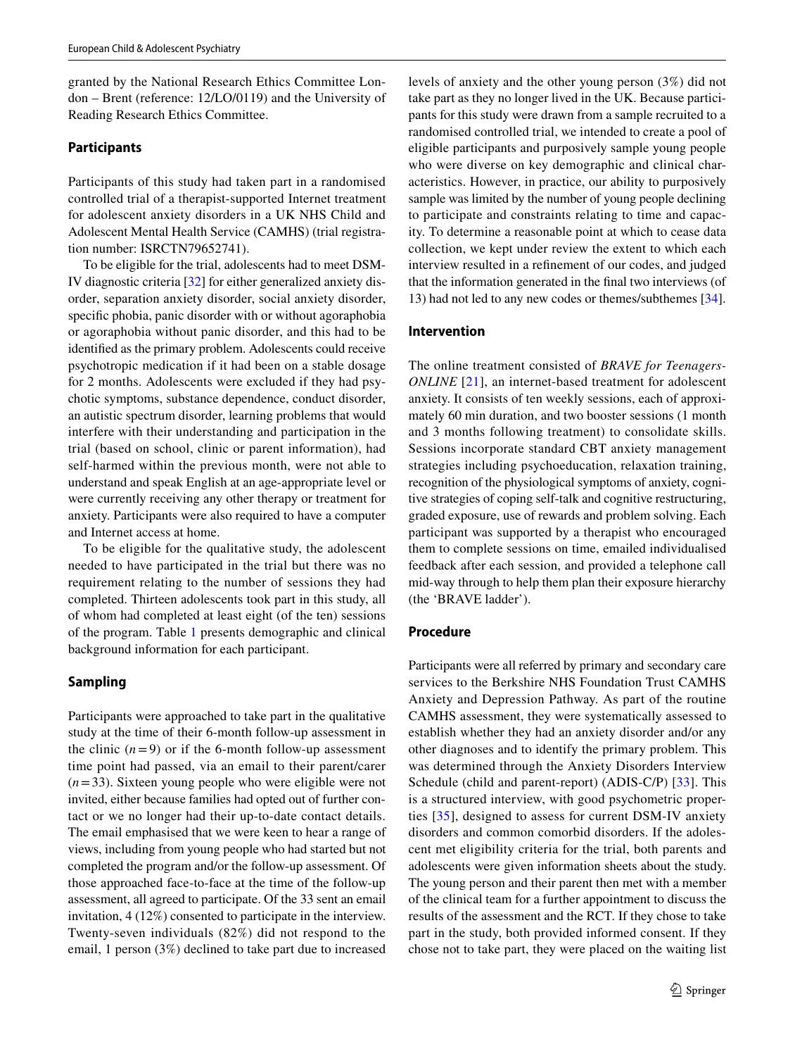granted by the National Research Ethics Committee London – Brent (reference: 12/LO/0119) and the University of Reading Research Ethics Committee.

#### **Participants**

Participants of this study had taken part in a randomised controlled trial of a therapist-supported Internet treatment for adolescent anxiety disorders in a UK NHS Child and Adolescent Mental Health Service (CAMHS) (trial registration number: ISRCTN79652741).

To be eligible for the trial, adolescents had to meet DSM-IV diagnostic criteria [[32\]](#page-11-25) for either generalized anxiety disorder, separation anxiety disorder, social anxiety disorder, specifc phobia, panic disorder with or without agoraphobia or agoraphobia without panic disorder, and this had to be identifed as the primary problem. Adolescents could receive psychotropic medication if it had been on a stable dosage for 2 months. Adolescents were excluded if they had psychotic symptoms, substance dependence, conduct disorder, an autistic spectrum disorder, learning problems that would interfere with their understanding and participation in the trial (based on school, clinic or parent information), had self-harmed within the previous month, were not able to understand and speak English at an age-appropriate level or were currently receiving any other therapy or treatment for anxiety. Participants were also required to have a computer and Internet access at home.

To be eligible for the qualitative study, the adolescent needed to have participated in the trial but there was no requirement relating to the number of sessions they had completed. Thirteen adolescents took part in this study, all of whom had completed at least eight (of the ten) sessions of the program. Table [1](#page-3-0) presents demographic and clinical background information for each participant.

# **Sampling**

Participants were approached to take part in the qualitative study at the time of their 6-month follow-up assessment in the clinic  $(n=9)$  or if the 6-month follow-up assessment time point had passed, via an email to their parent/carer (*n*=33). Sixteen young people who were eligible were not invited, either because families had opted out of further contact or we no longer had their up-to-date contact details. The email emphasised that we were keen to hear a range of views, including from young people who had started but not completed the program and/or the follow-up assessment. Of those approached face-to-face at the time of the follow-up assessment, all agreed to participate. Of the 33 sent an email invitation, 4 (12%) consented to participate in the interview. Twenty-seven individuals (82%) did not respond to the email, 1 person (3%) declined to take part due to increased levels of anxiety and the other young person (3%) did not take part as they no longer lived in the UK. Because participants for this study were drawn from a sample recruited to a randomised controlled trial, we intended to create a pool of eligible participants and purposively sample young people who were diverse on key demographic and clinical characteristics. However, in practice, our ability to purposively sample was limited by the number of young people declining to participate and constraints relating to time and capacity. To determine a reasonable point at which to cease data collection, we kept under review the extent to which each interview resulted in a refnement of our codes, and judged that the information generated in the fnal two interviews (of 13) had not led to any new codes or themes/subthemes [\[34](#page-11-26)].

#### **Intervention**

The online treatment consisted of *BRAVE for Teenagers-ONLINE* [\[21\]](#page-11-14), an internet-based treatment for adolescent anxiety. It consists of ten weekly sessions, each of approximately 60 min duration, and two booster sessions (1 month and 3 months following treatment) to consolidate skills. Sessions incorporate standard CBT anxiety management strategies including psychoeducation, relaxation training, recognition of the physiological symptoms of anxiety, cognitive strategies of coping self-talk and cognitive restructuring, graded exposure, use of rewards and problem solving. Each participant was supported by a therapist who encouraged them to complete sessions on time, emailed individualised feedback after each session, and provided a telephone call mid-way through to help them plan their exposure hierarchy (the 'BRAVE ladder').

#### **Procedure**

Participants were all referred by primary and secondary care services to the Berkshire NHS Foundation Trust CAMHS Anxiety and Depression Pathway. As part of the routine CAMHS assessment, they were systematically assessed to establish whether they had an anxiety disorder and/or any other diagnoses and to identify the primary problem. This was determined through the Anxiety Disorders Interview Schedule (child and parent-report) (ADIS-C/P) [[33](#page-11-27)]. This is a structured interview, with good psychometric properties [\[35\]](#page-11-28), designed to assess for current DSM-IV anxiety disorders and common comorbid disorders. If the adolescent met eligibility criteria for the trial, both parents and adolescents were given information sheets about the study. The young person and their parent then met with a member of the clinical team for a further appointment to discuss the results of the assessment and the RCT. If they chose to take part in the study, both provided informed consent. If they chose not to take part, they were placed on the waiting list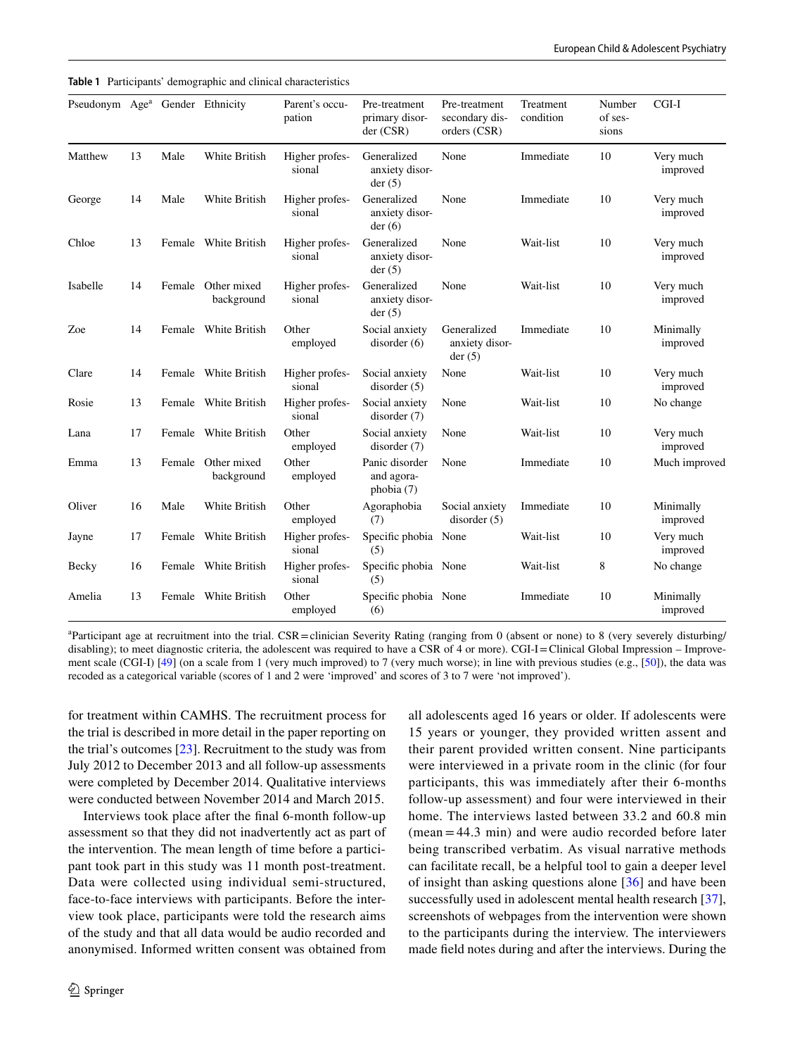<span id="page-3-0"></span>

|  |  |  |  | Table 1 Participants' demographic and clinical characteristics |
|--|--|--|--|----------------------------------------------------------------|
|--|--|--|--|----------------------------------------------------------------|

| Pseudonym Age <sup>a</sup> Gender Ethnicity |    |        |                           | Parent's occu-<br>pation | Pre-treatment<br>primary disor-<br>der (CSR) | Pre-treatment<br>secondary dis-<br>orders (CSR) | Treatment<br>condition | Number<br>of ses-<br>sions | $CGI-I$               |
|---------------------------------------------|----|--------|---------------------------|--------------------------|----------------------------------------------|-------------------------------------------------|------------------------|----------------------------|-----------------------|
| Matthew                                     | 13 | Male   | White British             | Higher profes-<br>sional | Generalized<br>anxiety disor-<br>der(5)      | None                                            | Immediate              | 10                         | Very much<br>improved |
| George                                      | 14 | Male   | White British             | Higher profes-<br>sional | Generalized<br>anxiety disor-<br>der(6)      | None                                            | Immediate              | 10                         | Very much<br>improved |
| Chloe                                       | 13 |        | Female White British      | Higher profes-<br>sional | Generalized<br>anxiety disor-<br>der(5)      | None                                            | Wait-list              | 10                         | Very much<br>improved |
| Isabelle                                    | 14 | Female | Other mixed<br>background | Higher profes-<br>sional | Generalized<br>anxiety disor-<br>der(5)      | None                                            | Wait-list              | 10                         | Very much<br>improved |
| Zoe                                         | 14 |        | Female White British      | Other<br>employed        | Social anxiety<br>disorder(6)                | Generalized<br>anxiety disor-<br>der(5)         | Immediate              | 10                         | Minimally<br>improved |
| Clare                                       | 14 |        | Female White British      | Higher profes-<br>sional | Social anxiety<br>disorder $(5)$             | None                                            | Wait-list              | 10                         | Very much<br>improved |
| Rosie                                       | 13 |        | Female White British      | Higher profes-<br>sional | Social anxiety<br>disorder(7)                | None                                            | Wait-list              | 10                         | No change             |
| Lana                                        | 17 |        | Female White British      | Other<br>employed        | Social anxiety<br>disorder(7)                | None                                            | Wait-list              | 10                         | Very much<br>improved |
| Emma                                        | 13 | Female | Other mixed<br>background | Other<br>employed        | Panic disorder<br>and agora-<br>phobia (7)   | None                                            | Immediate              | 10                         | Much improved         |
| Oliver                                      | 16 | Male   | White British             | Other<br>employed        | Agoraphobia<br>(7)                           | Social anxiety<br>disorder(5)                   | Immediate              | 10                         | Minimally<br>improved |
| Jayne                                       | 17 |        | Female White British      | Higher profes-<br>sional | Specific phobia None<br>(5)                  |                                                 | Wait-list              | 10                         | Very much<br>improved |
| Becky                                       | 16 |        | Female White British      | Higher profes-<br>sional | Specific phobia None<br>(5)                  |                                                 | Wait-list              | 8                          | No change             |
| Amelia                                      | 13 |        | Female White British      | Other<br>employed        | Specific phobia None<br>(6)                  |                                                 | Immediate              | 10                         | Minimally<br>improved |

<sup>a</sup>Participant age at recruitment into the trial. CSR = clinician Severity Rating (ranging from 0 (absent or none) to 8 (very severely disturbing/ disabling); to meet diagnostic criteria, the adolescent was required to have a CSR of 4 or more). CGI-I=Clinical Global Impression – Improve-ment scale (CGI-I) [[49](#page-12-0)] (on a scale from 1 (very much improved) to 7 (very much worse); in line with previous studies (e.g., [\[50\]](#page-12-1)), the data was recoded as a categorical variable (scores of 1 and 2 were 'improved' and scores of 3 to 7 were 'not improved').

for treatment within CAMHS. The recruitment process for the trial is described in more detail in the paper reporting on the trial's outcomes [\[23](#page-11-16)]. Recruitment to the study was from July 2012 to December 2013 and all follow-up assessments were completed by December 2014. Qualitative interviews were conducted between November 2014 and March 2015.

Interviews took place after the fnal 6-month follow-up assessment so that they did not inadvertently act as part of the intervention. The mean length of time before a participant took part in this study was 11 month post-treatment. Data were collected using individual semi-structured, face-to-face interviews with participants. Before the interview took place, participants were told the research aims of the study and that all data would be audio recorded and anonymised. Informed written consent was obtained from all adolescents aged 16 years or older. If adolescents were 15 years or younger, they provided written assent and their parent provided written consent. Nine participants were interviewed in a private room in the clinic (for four participants, this was immediately after their 6-months follow-up assessment) and four were interviewed in their home. The interviews lasted between 33.2 and 60.8 min (mean=44.3 min) and were audio recorded before later being transcribed verbatim. As visual narrative methods can facilitate recall, be a helpful tool to gain a deeper level of insight than asking questions alone [[36](#page-11-29)] and have been successfully used in adolescent mental health research [\[37](#page-11-30)], screenshots of webpages from the intervention were shown to the participants during the interview. The interviewers made feld notes during and after the interviews. During the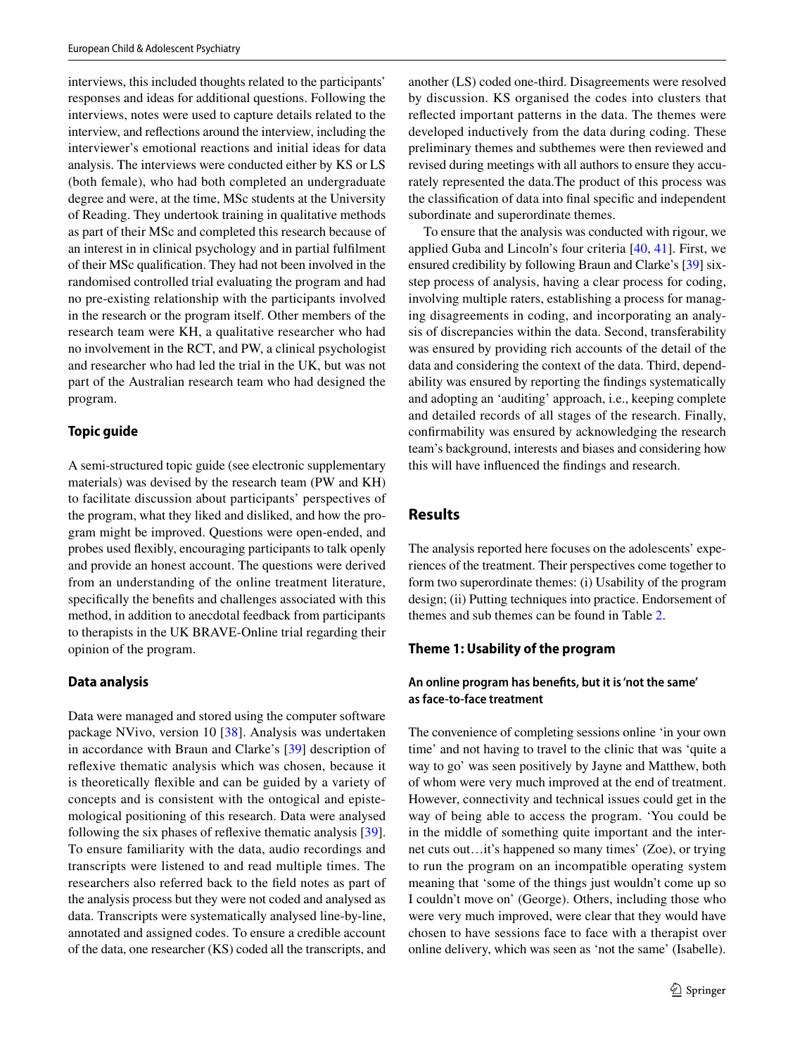interviews, this included thoughts related to the participants' responses and ideas for additional questions. Following the interviews, notes were used to capture details related to the interview, and refections around the interview, including the interviewer's emotional reactions and initial ideas for data analysis. The interviews were conducted either by KS or LS (both female), who had both completed an undergraduate degree and were, at the time, MSc students at the University of Reading. They undertook training in qualitative methods as part of their MSc and completed this research because of an interest in in clinical psychology and in partial fulflment of their MSc qualifcation. They had not been involved in the randomised controlled trial evaluating the program and had no pre-existing relationship with the participants involved in the research or the program itself. Other members of the research team were KH, a qualitative researcher who had no involvement in the RCT, and PW, a clinical psychologist and researcher who had led the trial in the UK, but was not part of the Australian research team who had designed the program.

#### **Topic guide**

A semi-structured topic guide (see electronic supplementary materials) was devised by the research team (PW and KH) to facilitate discussion about participants' perspectives of the program, what they liked and disliked, and how the program might be improved. Questions were open-ended, and probes used fexibly, encouraging participants to talk openly and provide an honest account. The questions were derived from an understanding of the online treatment literature, specifcally the benefts and challenges associated with this method, in addition to anecdotal feedback from participants to therapists in the UK BRAVE-Online trial regarding their opinion of the program.

#### **Data analysis**

Data were managed and stored using the computer software package NVivo, version 10 [\[38\]](#page-11-31). Analysis was undertaken in accordance with Braun and Clarke's [[39](#page-11-32)] description of refexive thematic analysis which was chosen, because it is theoretically fexible and can be guided by a variety of concepts and is consistent with the ontogical and epistemological positioning of this research. Data were analysed following the six phases of refexive thematic analysis [\[39](#page-11-32)]. To ensure familiarity with the data, audio recordings and transcripts were listened to and read multiple times. The researchers also referred back to the feld notes as part of the analysis process but they were not coded and analysed as data. Transcripts were systematically analysed line-by-line, annotated and assigned codes. To ensure a credible account of the data, one researcher (KS) coded all the transcripts, and another (LS) coded one-third. Disagreements were resolved by discussion. KS organised the codes into clusters that refected important patterns in the data. The themes were developed inductively from the data during coding. These preliminary themes and subthemes were then reviewed and revised during meetings with all authors to ensure they accurately represented the data.The product of this process was the classifcation of data into fnal specifc and independent subordinate and superordinate themes.

To ensure that the analysis was conducted with rigour, we applied Guba and Lincoln's four criteria [\[40](#page-11-33), [41\]](#page-11-34). First, we ensured credibility by following Braun and Clarke's [\[39](#page-11-32)] sixstep process of analysis, having a clear process for coding, involving multiple raters, establishing a process for managing disagreements in coding, and incorporating an analysis of discrepancies within the data. Second, transferability was ensured by providing rich accounts of the detail of the data and considering the context of the data. Third, dependability was ensured by reporting the fndings systematically and adopting an 'auditing' approach, i.e., keeping complete and detailed records of all stages of the research. Finally, confrmability was ensured by acknowledging the research team's background, interests and biases and considering how this will have infuenced the fndings and research.

# **Results**

The analysis reported here focuses on the adolescents' experiences of the treatment. Their perspectives come together to form two superordinate themes: (i) Usability of the program design; (ii) Putting techniques into practice. Endorsement of themes and sub themes can be found in Table [2](#page-3-0).

#### **Theme 1: Usability of the program**

# **An online program has benefts, but it is 'not the same' as face‑to‑face treatment**

The convenience of completing sessions online 'in your own time' and not having to travel to the clinic that was 'quite a way to go' was seen positively by Jayne and Matthew, both of whom were very much improved at the end of treatment. However, connectivity and technical issues could get in the way of being able to access the program. 'You could be in the middle of something quite important and the internet cuts out…it's happened so many times' (Zoe), or trying to run the program on an incompatible operating system meaning that 'some of the things just wouldn't come up so I couldn't move on' (George). Others, including those who were very much improved, were clear that they would have chosen to have sessions face to face with a therapist over online delivery, which was seen as 'not the same' (Isabelle).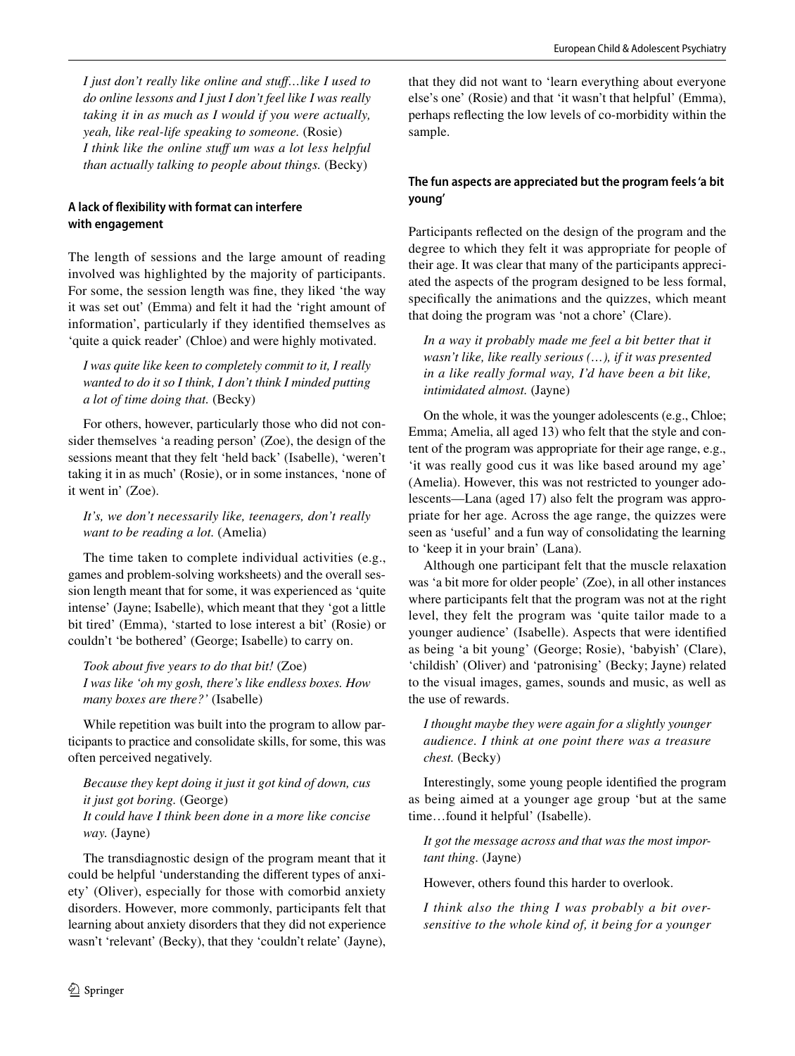*I just don't really like online and stuf…like I used to do online lessons and I just I don't feel like I was really taking it in as much as I would if you were actually, yeah, like real-life speaking to someone.* (Rosie) *I think like the online stuf um was a lot less helpful than actually talking to people about things.* (Becky)

# **A lack of fexibility with format can interfere with engagement**

The length of sessions and the large amount of reading involved was highlighted by the majority of participants. For some, the session length was fne, they liked 'the way it was set out' (Emma) and felt it had the 'right amount of information', particularly if they identifed themselves as 'quite a quick reader' (Chloe) and were highly motivated.

*I was quite like keen to completely commit to it, I really wanted to do it so I think, I don't think I minded putting a lot of time doing that.* (Becky)

For others, however, particularly those who did not consider themselves 'a reading person' (Zoe), the design of the sessions meant that they felt 'held back' (Isabelle), 'weren't taking it in as much' (Rosie), or in some instances, 'none of it went in' (Zoe).

*It's, we don't necessarily like, teenagers, don't really want to be reading a lot.* (Amelia)

The time taken to complete individual activities (e.g., games and problem-solving worksheets) and the overall session length meant that for some, it was experienced as 'quite intense' (Jayne; Isabelle), which meant that they 'got a little bit tired' (Emma), 'started to lose interest a bit' (Rosie) or couldn't 'be bothered' (George; Isabelle) to carry on.

*Took about fve years to do that bit!* (Zoe) *I was like 'oh my gosh, there's like endless boxes. How many boxes are there?'* (Isabelle)

While repetition was built into the program to allow participants to practice and consolidate skills, for some, this was often perceived negatively.

*Because they kept doing it just it got kind of down, cus it just got boring.* (George) *It could have I think been done in a more like concise way.* (Jayne)

The transdiagnostic design of the program meant that it could be helpful 'understanding the diferent types of anxiety' (Oliver), especially for those with comorbid anxiety disorders. However, more commonly, participants felt that learning about anxiety disorders that they did not experience wasn't 'relevant' (Becky), that they 'couldn't relate' (Jayne),

that they did not want to 'learn everything about everyone else's one' (Rosie) and that 'it wasn't that helpful' (Emma), perhaps refecting the low levels of co-morbidity within the sample.

# **The fun aspects are appreciated but the program feels 'a bit young'**

Participants refected on the design of the program and the degree to which they felt it was appropriate for people of their age. It was clear that many of the participants appreciated the aspects of the program designed to be less formal, specifcally the animations and the quizzes, which meant that doing the program was 'not a chore' (Clare).

In a way it probably made me feel a bit better that it *wasn't like, like really serious (…), if it was presented in a like really formal way, I'd have been a bit like, intimidated almost.* (Jayne)

On the whole, it was the younger adolescents (e.g., Chloe; Emma; Amelia, all aged 13) who felt that the style and content of the program was appropriate for their age range, e.g., 'it was really good cus it was like based around my age' (Amelia). However, this was not restricted to younger adolescents—Lana (aged 17) also felt the program was appropriate for her age. Across the age range, the quizzes were seen as 'useful' and a fun way of consolidating the learning to 'keep it in your brain' (Lana).

Although one participant felt that the muscle relaxation was 'a bit more for older people' (Zoe), in all other instances where participants felt that the program was not at the right level, they felt the program was 'quite tailor made to a younger audience' (Isabelle). Aspects that were identifed as being 'a bit young' (George; Rosie), 'babyish' (Clare), 'childish' (Oliver) and 'patronising' (Becky; Jayne) related to the visual images, games, sounds and music, as well as the use of rewards.

*I thought maybe they were again for a slightly younger audience. I think at one point there was a treasure chest.* (Becky)

Interestingly, some young people identifed the program as being aimed at a younger age group 'but at the same time…found it helpful' (Isabelle).

*It got the message across and that was the most important thing.* (Jayne)

However, others found this harder to overlook.

*I think also the thing I was probably a bit oversensitive to the whole kind of, it being for a younger*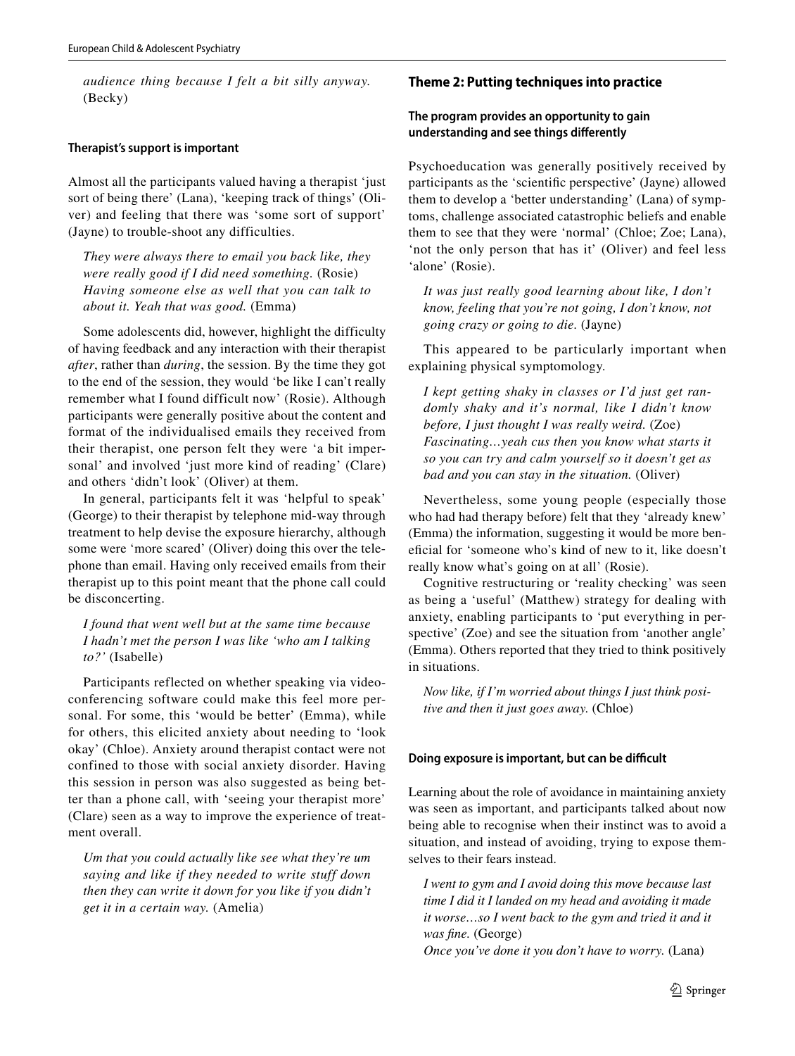*audience thing because I felt a bit silly anyway.* (Becky)

#### **Therapist's support is important**

Almost all the participants valued having a therapist 'just sort of being there' (Lana), 'keeping track of things' (Oliver) and feeling that there was 'some sort of support' (Jayne) to trouble-shoot any difficulties.

*They were always there to email you back like, they were really good if I did need something.* (Rosie) *Having someone else as well that you can talk to about it. Yeah that was good.* (Emma)

Some adolescents did, however, highlight the difficulty of having feedback and any interaction with their therapist *after*, rather than *during*, the session. By the time they got to the end of the session, they would 'be like I can't really remember what I found difficult now' (Rosie). Although participants were generally positive about the content and format of the individualised emails they received from their therapist, one person felt they were 'a bit impersonal' and involved 'just more kind of reading' (Clare) and others 'didn't look' (Oliver) at them.

In general, participants felt it was 'helpful to speak' (George) to their therapist by telephone mid-way through treatment to help devise the exposure hierarchy, although some were 'more scared' (Oliver) doing this over the telephone than email. Having only received emails from their therapist up to this point meant that the phone call could be disconcerting.

*I found that went well but at the same time because I hadn't met the person I was like 'who am I talking to?'* (Isabelle)

Participants reflected on whether speaking via videoconferencing software could make this feel more personal. For some, this 'would be better' (Emma), while for others, this elicited anxiety about needing to 'look okay' (Chloe). Anxiety around therapist contact were not confined to those with social anxiety disorder. Having this session in person was also suggested as being better than a phone call, with 'seeing your therapist more' (Clare) seen as a way to improve the experience of treatment overall.

*Um that you could actually like see what they're um saying and like if they needed to write stuff down then they can write it down for you like if you didn't get it in a certain way.* (Amelia)

#### **Theme 2: Putting techniques into practice**

# **The program provides an opportunity to gain understanding and see things diferently**

Psychoeducation was generally positively received by participants as the 'scientifc perspective' (Jayne) allowed them to develop a 'better understanding' (Lana) of symptoms, challenge associated catastrophic beliefs and enable them to see that they were 'normal' (Chloe; Zoe; Lana), 'not the only person that has it' (Oliver) and feel less 'alone' (Rosie).

*It was just really good learning about like, I don't know, feeling that you're not going, I don't know, not going crazy or going to die.* (Jayne)

This appeared to be particularly important when explaining physical symptomology.

*I kept getting shaky in classes or I'd just get randomly shaky and it's normal, like I didn't know before, I just thought I was really weird.* (Zoe) *Fascinating…yeah cus then you know what starts it so you can try and calm yourself so it doesn't get as bad and you can stay in the situation.* (Oliver)

Nevertheless, some young people (especially those who had had therapy before) felt that they 'already knew' (Emma) the information, suggesting it would be more benefcial for 'someone who's kind of new to it, like doesn't really know what's going on at all' (Rosie).

Cognitive restructuring or 'reality checking' was seen as being a 'useful' (Matthew) strategy for dealing with anxiety, enabling participants to 'put everything in perspective' (Zoe) and see the situation from 'another angle' (Emma). Others reported that they tried to think positively in situations.

*Now like, if I'm worried about things I just think positive and then it just goes away.* (Chloe)

#### **Doing exposure is important, but can be difficult**

Learning about the role of avoidance in maintaining anxiety was seen as important, and participants talked about now being able to recognise when their instinct was to avoid a situation, and instead of avoiding, trying to expose themselves to their fears instead.

*I went to gym and I avoid doing this move because last time I did it I landed on my head and avoiding it made it worse…so I went back to the gym and tried it and it was fne.* (George)

*Once you've done it you don't have to worry.* (Lana)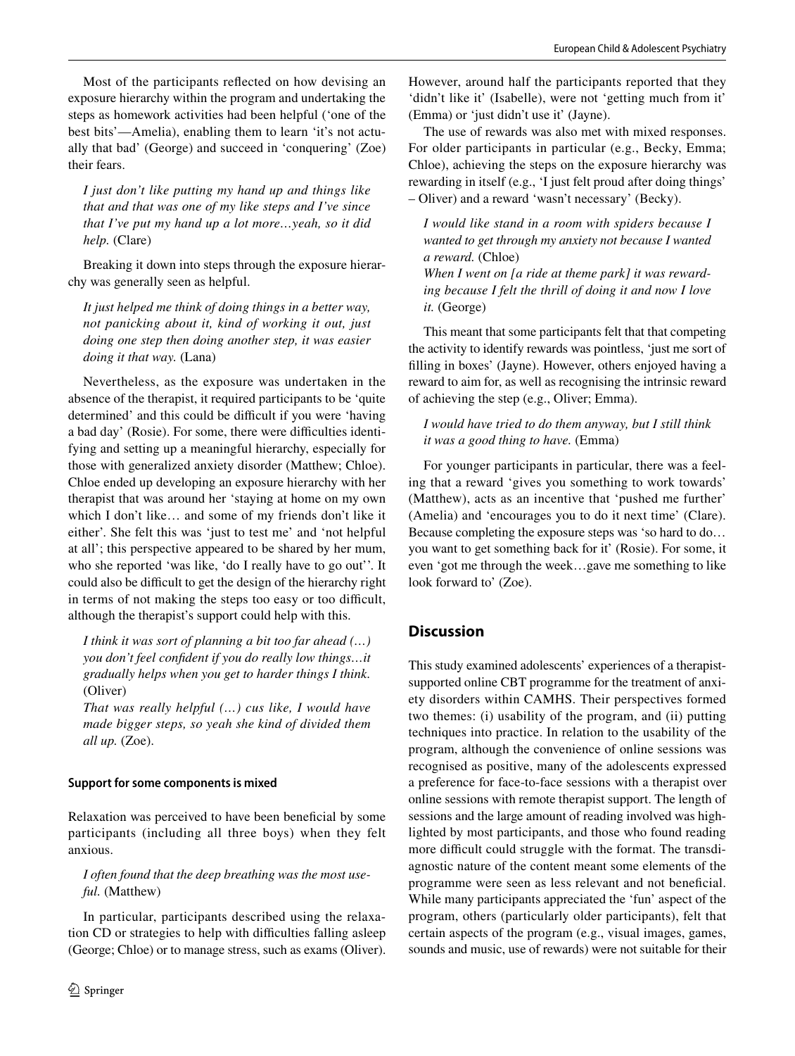Most of the participants refected on how devising an exposure hierarchy within the program and undertaking the steps as homework activities had been helpful ('one of the best bits'—Amelia), enabling them to learn 'it's not actually that bad' (George) and succeed in 'conquering' (Zoe) their fears.

*I just don't like putting my hand up and things like that and that was one of my like steps and I've since that I've put my hand up a lot more…yeah, so it did help.* (Clare)

Breaking it down into steps through the exposure hierarchy was generally seen as helpful.

*It just helped me think of doing things in a better way, not panicking about it, kind of working it out, just doing one step then doing another step, it was easier doing it that way.* (Lana)

Nevertheless, as the exposure was undertaken in the absence of the therapist, it required participants to be 'quite determined' and this could be difficult if you were 'having a bad day' (Rosie). For some, there were difficulties identifying and setting up a meaningful hierarchy, especially for those with generalized anxiety disorder (Matthew; Chloe). Chloe ended up developing an exposure hierarchy with her therapist that was around her 'staying at home on my own which I don't like… and some of my friends don't like it either'. She felt this was 'just to test me' and 'not helpful at all'; this perspective appeared to be shared by her mum, who she reported 'was like, 'do I really have to go out''. It could also be difficult to get the design of the hierarchy right in terms of not making the steps too easy or too difficult, although the therapist's support could help with this.

*I think it was sort of planning a bit too far ahead (…) you don't feel confdent if you do really low things…it gradually helps when you get to harder things I think.* (Oliver)

*That was really helpful (…) cus like, I would have made bigger steps, so yeah she kind of divided them all up.* (Zoe).

# **Support for some components is mixed**

Relaxation was perceived to have been benefcial by some participants (including all three boys) when they felt anxious.

*I often found that the deep breathing was the most useful.* (Matthew)

In particular, participants described using the relaxation CD or strategies to help with difficulties falling asleep (George; Chloe) or to manage stress, such as exams (Oliver). However, around half the participants reported that they 'didn't like it' (Isabelle), were not 'getting much from it' (Emma) or 'just didn't use it' (Jayne).

The use of rewards was also met with mixed responses. For older participants in particular (e.g., Becky, Emma; Chloe), achieving the steps on the exposure hierarchy was rewarding in itself (e.g., 'I just felt proud after doing things' – Oliver) and a reward 'wasn't necessary' (Becky).

*I would like stand in a room with spiders because I wanted to get through my anxiety not because I wanted a reward.* (Chloe)

*When I went on [a ride at theme park] it was rewarding because I felt the thrill of doing it and now I love it.* (George)

This meant that some participants felt that that competing the activity to identify rewards was pointless, 'just me sort of flling in boxes' (Jayne). However, others enjoyed having a reward to aim for, as well as recognising the intrinsic reward of achieving the step (e.g., Oliver; Emma).

*I would have tried to do them anyway, but I still think it was a good thing to have.* (Emma)

For younger participants in particular, there was a feeling that a reward 'gives you something to work towards' (Matthew), acts as an incentive that 'pushed me further' (Amelia) and 'encourages you to do it next time' (Clare). Because completing the exposure steps was 'so hard to do… you want to get something back for it' (Rosie). For some, it even 'got me through the week…gave me something to like look forward to' (Zoe).

# **Discussion**

This study examined adolescents' experiences of a therapistsupported online CBT programme for the treatment of anxiety disorders within CAMHS. Their perspectives formed two themes: (i) usability of the program, and (ii) putting techniques into practice. In relation to the usability of the program, although the convenience of online sessions was recognised as positive, many of the adolescents expressed a preference for face-to-face sessions with a therapist over online sessions with remote therapist support. The length of sessions and the large amount of reading involved was highlighted by most participants, and those who found reading more difficult could struggle with the format. The transdiagnostic nature of the content meant some elements of the programme were seen as less relevant and not benefcial. While many participants appreciated the 'fun' aspect of the program, others (particularly older participants), felt that certain aspects of the program (e.g., visual images, games, sounds and music, use of rewards) were not suitable for their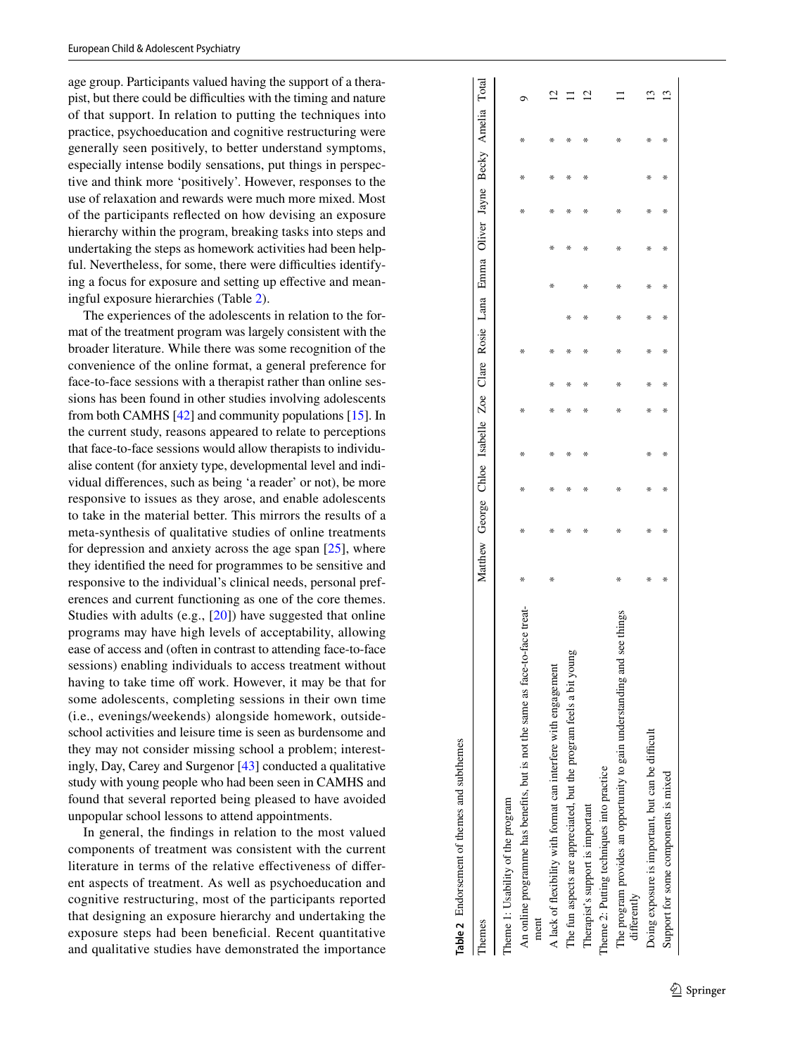age group. Participants valued having the support of a thera pist, but there could be difficulties with the timing and nature of that support. In relation to putting the techniques into practice, psychoeducation and cognitive restructuring were generally seen positively, to better understand symptoms, especially intense bodily sensations, put things in perspec tive and think more 'positively'. However, responses to the use of relaxation and rewards were much more mixed. Most of the participants refected on how devising an exposure hierarchy within the program, breaking tasks into steps and undertaking the steps as homework activities had been help ful. Nevertheless, for some, there were difficulties identifying a focus for exposure and setting up effective and meaningful exposure hierarchies (Table [2](#page-8-0)).

The experiences of the adolescents in relation to the for mat of the treatment program was largely consistent with the broader literature. While there was some recognition of the convenience of the online format, a general preference for face-to-face sessions with a therapist rather than online ses sions has been found in other studies involving adolescents from both CAMHS [[42\]](#page-11-35) and community populations [\[15\]](#page-11-8). In the current study, reasons appeared to relate to perceptions that face-to-face sessions would allow therapists to individu alise content (for anxiety type, developmental level and indi vidual diferences, such as being 'a reader' or not), be more responsive to issues as they arose, and enable adolescents to take in the material better. This mirrors the results of a meta-synthesis of qualitative studies of online treatments for depression and anxiety across the age span [[25\]](#page-11-18), where they identifed the need for programmes to be sensitive and responsive to the individual's clinical needs, personal preferences and current functioning as one of the core themes. Studies with adults (e.g., [[20](#page-11-13)]) have suggested that online programs may have high levels of acceptability, allowing ease of access and (often in contrast to attending face-to-face sessions) enabling individuals to access treatment without having to take time off work. However, it may be that for some adolescents, completing sessions in their own time (i.e., evenings/weekends) alongside homework, outsideschool activities and leisure time is seen as burdensome and they may not consider missing school a problem; interest ingly, Day, Carey and Surgenor [\[43](#page-11-36)] conducted a qualitative study with young people who had been seen in CAMHS and found that several reported being pleased to have avoided unpopular school lessons to attend appointments.

In general, the fndings in relation to the most valued components of treatment was consistent with the current literature in terms of the relative efectiveness of difer ent aspects of treatment. As well as psychoeducation and cognitive restructuring, most of the participants reported that designing an exposure hierarchy and undertaking the exposure steps had been benefcial. Recent quantitative and qualitative studies have demonstrated the importance

| hemes                                                                                | Matthew George Chloe Isabelle Zoe Clare Rosie Lana Emma Oliver Jayne Becky Amelia Total |   |   |   |        |   |   |   |   |   |   |   |          |
|--------------------------------------------------------------------------------------|-----------------------------------------------------------------------------------------|---|---|---|--------|---|---|---|---|---|---|---|----------|
| Theme 1: Usability of the program                                                    |                                                                                         |   |   |   |        |   |   |   |   |   |   |   |          |
| An online programme has benefits, but is not the same as face-to-face treat-<br>ment | ₩                                                                                       | ₩ | ₩ | ⋇ | ⋇      | ₩ |   |   |   | ⋇ | ⋇ | ₩ |          |
| A lack of flexibility with format can interfere with engagement                      | ⋇                                                                                       | ÷ | ⋇ | ⋇ | ⋇      | ¥ |   | ⋇ | ⋇ | ÷ | ÷ | ⋇ |          |
| The fun aspects are appreciated, but the program feels a bit yo                      |                                                                                         | ⋇ | ⋇ | ⋇ | ⋇<br>⋇ | ⋇ | ⋇ |   | ⋇ | ⋇ | ⋇ | ⋇ |          |
| Therapist's support is important                                                     |                                                                                         | ⋇ | ⋇ | ⋇ | ⋇<br>⋇ | ⋇ | ⋇ | ⋇ | ⋇ | ⋇ | ⋇ | ⋇ | $\simeq$ |
| Theme 2: Putting techniques into practice                                            |                                                                                         |   |   |   |        |   |   |   |   |   |   |   |          |
| The program provides an opportunity to gain understanding and see ti<br>differently  | ₩                                                                                       | ⋇ | ₩ |   | ⋇<br>⋇ | ₩ | ⋇ | ⋇ | ⋇ | ⋇ |   | ⋇ |          |
| Doing exposure is important, but can be difficult                                    | ⋇                                                                                       | ⋇ | ⋇ | ⋇ | ×<br>⋇ | ⋇ | ÷ | ⋇ | ⋇ | ÷ | ÷ | ⋇ | ొ        |
| Support for some components is mixed                                                 | ⋇                                                                                       | ⋇ | ⋇ | ⋇ | ⋇<br>⋇ | ⋇ | ⋇ | ⋇ | ⋇ | ⋇ | ⋇ | ⋇ | 3        |
|                                                                                      |                                                                                         |   |   |   |        |   |   |   |   |   |   |   |          |

# <span id="page-8-0"></span>Table 2 Endorsement of themes and subthemes **Table 2** Endorsement of themes and subthemes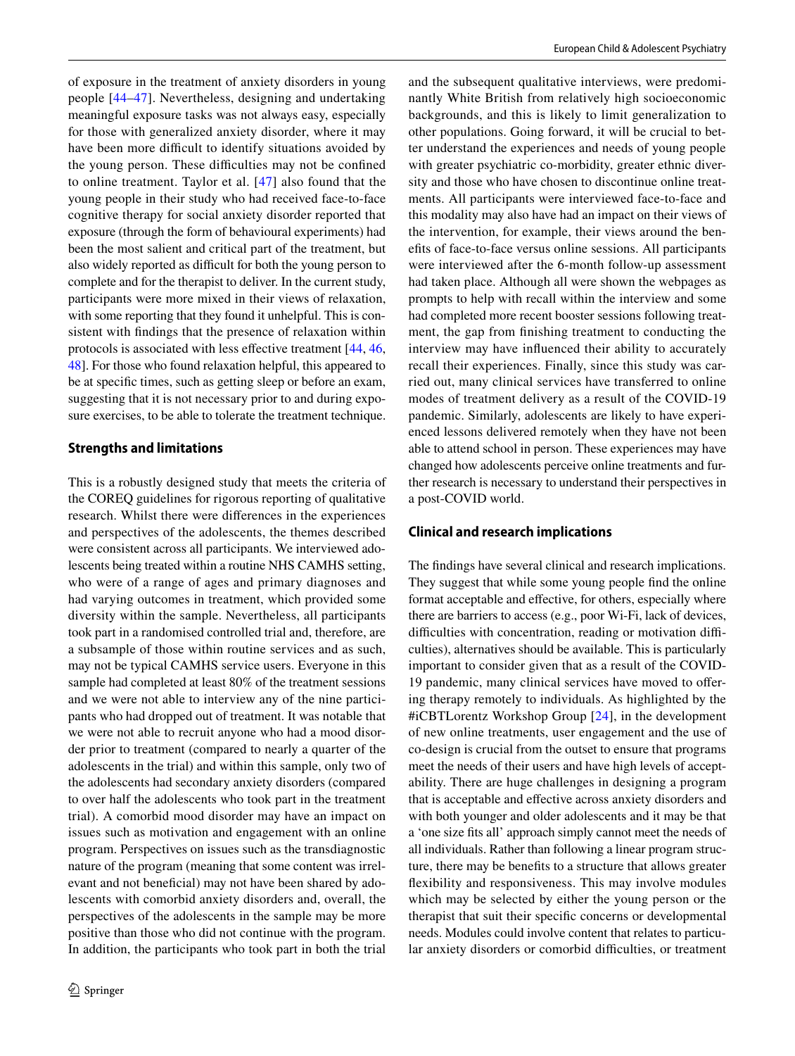of exposure in the treatment of anxiety disorders in young people [[44](#page-11-37)[–47\]](#page-11-38). Nevertheless, designing and undertaking meaningful exposure tasks was not always easy, especially for those with generalized anxiety disorder, where it may have been more difficult to identify situations avoided by the young person. These difficulties may not be confined to online treatment. Taylor et al. [[47](#page-11-38)] also found that the young people in their study who had received face-to-face cognitive therapy for social anxiety disorder reported that exposure (through the form of behavioural experiments) had been the most salient and critical part of the treatment, but also widely reported as difficult for both the young person to complete and for the therapist to deliver. In the current study, participants were more mixed in their views of relaxation, with some reporting that they found it unhelpful. This is consistent with fndings that the presence of relaxation within protocols is associated with less efective treatment [[44,](#page-11-37) [46,](#page-11-39) [48\]](#page-12-2). For those who found relaxation helpful, this appeared to be at specifc times, such as getting sleep or before an exam, suggesting that it is not necessary prior to and during exposure exercises, to be able to tolerate the treatment technique.

#### **Strengths and limitations**

This is a robustly designed study that meets the criteria of the COREQ guidelines for rigorous reporting of qualitative research. Whilst there were diferences in the experiences and perspectives of the adolescents, the themes described were consistent across all participants. We interviewed adolescents being treated within a routine NHS CAMHS setting, who were of a range of ages and primary diagnoses and had varying outcomes in treatment, which provided some diversity within the sample. Nevertheless, all participants took part in a randomised controlled trial and, therefore, are a subsample of those within routine services and as such, may not be typical CAMHS service users. Everyone in this sample had completed at least 80% of the treatment sessions and we were not able to interview any of the nine participants who had dropped out of treatment. It was notable that we were not able to recruit anyone who had a mood disorder prior to treatment (compared to nearly a quarter of the adolescents in the trial) and within this sample, only two of the adolescents had secondary anxiety disorders (compared to over half the adolescents who took part in the treatment trial). A comorbid mood disorder may have an impact on issues such as motivation and engagement with an online program. Perspectives on issues such as the transdiagnostic nature of the program (meaning that some content was irrelevant and not beneficial) may not have been shared by adolescents with comorbid anxiety disorders and, overall, the perspectives of the adolescents in the sample may be more positive than those who did not continue with the program. In addition, the participants who took part in both the trial and the subsequent qualitative interviews, were predominantly White British from relatively high socioeconomic backgrounds, and this is likely to limit generalization to other populations. Going forward, it will be crucial to better understand the experiences and needs of young people with greater psychiatric co-morbidity, greater ethnic diversity and those who have chosen to discontinue online treatments. All participants were interviewed face-to-face and this modality may also have had an impact on their views of the intervention, for example, their views around the benefts of face-to-face versus online sessions. All participants were interviewed after the 6-month follow-up assessment had taken place. Although all were shown the webpages as prompts to help with recall within the interview and some had completed more recent booster sessions following treatment, the gap from fnishing treatment to conducting the interview may have infuenced their ability to accurately recall their experiences. Finally, since this study was carried out, many clinical services have transferred to online modes of treatment delivery as a result of the COVID-19 pandemic. Similarly, adolescents are likely to have experienced lessons delivered remotely when they have not been able to attend school in person. These experiences may have changed how adolescents perceive online treatments and further research is necessary to understand their perspectives in a post-COVID world.

#### **Clinical and research implications**

The fndings have several clinical and research implications. They suggest that while some young people fnd the online format acceptable and efective, for others, especially where there are barriers to access (e.g., poor Wi-Fi, lack of devices, difficulties with concentration, reading or motivation difficulties), alternatives should be available. This is particularly important to consider given that as a result of the COVID-19 pandemic, many clinical services have moved to ofering therapy remotely to individuals. As highlighted by the #iCBTLorentz Workshop Group [\[24](#page-11-17)], in the development of new online treatments, user engagement and the use of co-design is crucial from the outset to ensure that programs meet the needs of their users and have high levels of acceptability. There are huge challenges in designing a program that is acceptable and efective across anxiety disorders and with both younger and older adolescents and it may be that a 'one size fts all' approach simply cannot meet the needs of all individuals. Rather than following a linear program structure, there may be benefts to a structure that allows greater fexibility and responsiveness. This may involve modules which may be selected by either the young person or the therapist that suit their specifc concerns or developmental needs. Modules could involve content that relates to particular anxiety disorders or comorbid difficulties, or treatment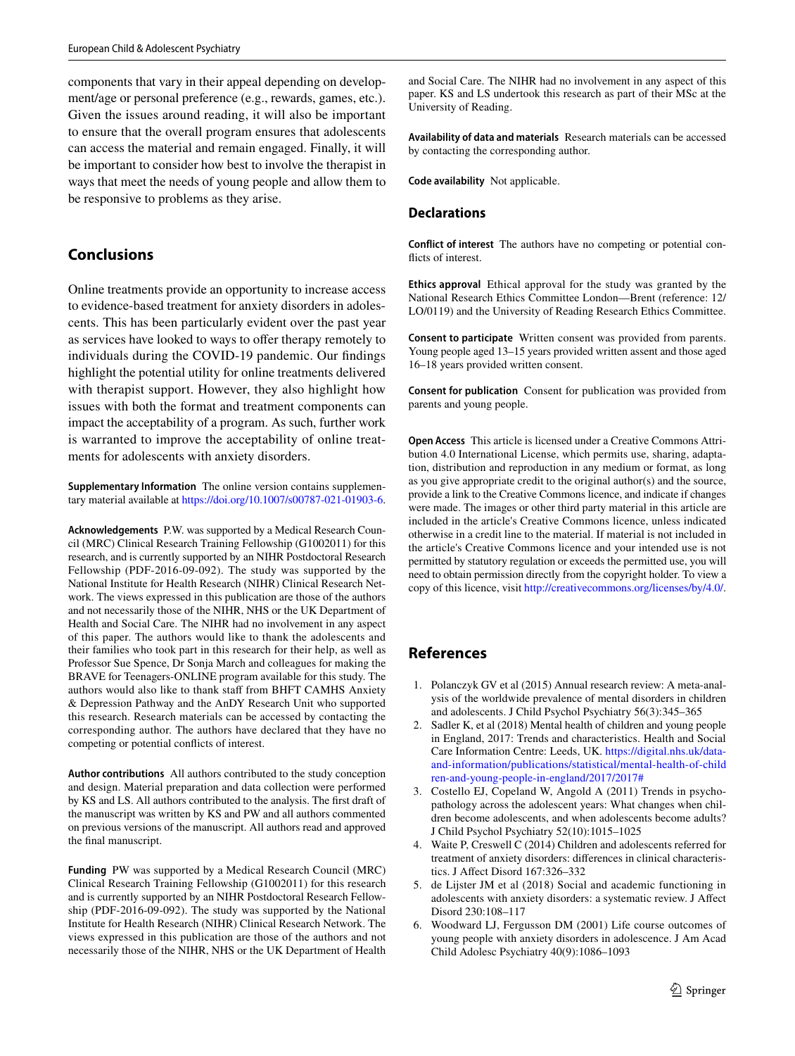components that vary in their appeal depending on development/age or personal preference (e.g., rewards, games, etc.). Given the issues around reading, it will also be important to ensure that the overall program ensures that adolescents can access the material and remain engaged. Finally, it will be important to consider how best to involve the therapist in ways that meet the needs of young people and allow them to be responsive to problems as they arise.

# **Conclusions**

Online treatments provide an opportunity to increase access to evidence-based treatment for anxiety disorders in adolescents. This has been particularly evident over the past year as services have looked to ways to ofer therapy remotely to individuals during the COVID-19 pandemic. Our fndings highlight the potential utility for online treatments delivered with therapist support. However, they also highlight how issues with both the format and treatment components can impact the acceptability of a program. As such, further work is warranted to improve the acceptability of online treatments for adolescents with anxiety disorders.

**Supplementary Information** The online version contains supplementary material available at<https://doi.org/10.1007/s00787-021-01903-6>.

**Acknowledgements** P.W. was supported by a Medical Research Council (MRC) Clinical Research Training Fellowship (G1002011) for this research, and is currently supported by an NIHR Postdoctoral Research Fellowship (PDF-2016-09-092). The study was supported by the National Institute for Health Research (NIHR) Clinical Research Network. The views expressed in this publication are those of the authors and not necessarily those of the NIHR, NHS or the UK Department of Health and Social Care. The NIHR had no involvement in any aspect of this paper. The authors would like to thank the adolescents and their families who took part in this research for their help, as well as Professor Sue Spence, Dr Sonja March and colleagues for making the BRAVE for Teenagers-ONLINE program available for this study. The authors would also like to thank staff from BHFT CAMHS Anxiety & Depression Pathway and the AnDY Research Unit who supported this research. Research materials can be accessed by contacting the corresponding author. The authors have declared that they have no competing or potential conficts of interest.

**Author contributions** All authors contributed to the study conception and design. Material preparation and data collection were performed by KS and LS. All authors contributed to the analysis. The frst draft of the manuscript was written by KS and PW and all authors commented on previous versions of the manuscript. All authors read and approved the fnal manuscript.

**Funding** PW was supported by a Medical Research Council (MRC) Clinical Research Training Fellowship (G1002011) for this research and is currently supported by an NIHR Postdoctoral Research Fellowship (PDF-2016-09-092). The study was supported by the National Institute for Health Research (NIHR) Clinical Research Network. The views expressed in this publication are those of the authors and not necessarily those of the NIHR, NHS or the UK Department of Health and Social Care. The NIHR had no involvement in any aspect of this paper. KS and LS undertook this research as part of their MSc at the University of Reading.

**Availability of data and materials** Research materials can be accessed by contacting the corresponding author.

**Code availability** Not applicable.

# **Declarations**

**Conflict of interest** The authors have no competing or potential conflicts of interest.

**Ethics approval** Ethical approval for the study was granted by the National Research Ethics Committee London—Brent (reference: 12/ LO/0119) and the University of Reading Research Ethics Committee.

**Consent to participate** Written consent was provided from parents. Young people aged 13–15 years provided written assent and those aged 16–18 years provided written consent.

**Consent for publication** Consent for publication was provided from parents and young people.

**Open Access** This article is licensed under a Creative Commons Attribution 4.0 International License, which permits use, sharing, adaptation, distribution and reproduction in any medium or format, as long as you give appropriate credit to the original author(s) and the source, provide a link to the Creative Commons licence, and indicate if changes were made. The images or other third party material in this article are included in the article's Creative Commons licence, unless indicated otherwise in a credit line to the material. If material is not included in the article's Creative Commons licence and your intended use is not permitted by statutory regulation or exceeds the permitted use, you will need to obtain permission directly from the copyright holder. To view a copy of this licence, visit<http://creativecommons.org/licenses/by/4.0/>.

# **References**

- <span id="page-10-0"></span>1. Polanczyk GV et al (2015) Annual research review: A meta-analysis of the worldwide prevalence of mental disorders in children and adolescents. J Child Psychol Psychiatry 56(3):345–365
- <span id="page-10-1"></span>Sadler K, et al (2018) Mental health of children and young people in England, 2017: Trends and characteristics. Health and Social Care Information Centre: Leeds, UK. [https://digital.nhs.uk/data](https://digital.nhs.uk/data-and-information/publications/statistical/mental-health-of-children-and-young-people-in-england/2017/2017#)[and-information/publications/statistical/mental-health-of-child](https://digital.nhs.uk/data-and-information/publications/statistical/mental-health-of-children-and-young-people-in-england/2017/2017#) [ren-and-young-people-in-england/2017/2017#](https://digital.nhs.uk/data-and-information/publications/statistical/mental-health-of-children-and-young-people-in-england/2017/2017#)
- <span id="page-10-2"></span>3. Costello EJ, Copeland W, Angold A (2011) Trends in psychopathology across the adolescent years: What changes when children become adolescents, and when adolescents become adults? J Child Psychol Psychiatry 52(10):1015–1025
- <span id="page-10-3"></span>4. Waite P, Creswell C (2014) Children and adolescents referred for treatment of anxiety disorders: diferences in clinical characteristics. J Afect Disord 167:326–332
- <span id="page-10-4"></span>5. de Lijster JM et al (2018) Social and academic functioning in adolescents with anxiety disorders: a systematic review. J Afect Disord 230:108–117
- <span id="page-10-5"></span>6. Woodward LJ, Fergusson DM (2001) Life course outcomes of young people with anxiety disorders in adolescence. J Am Acad Child Adolesc Psychiatry 40(9):1086–1093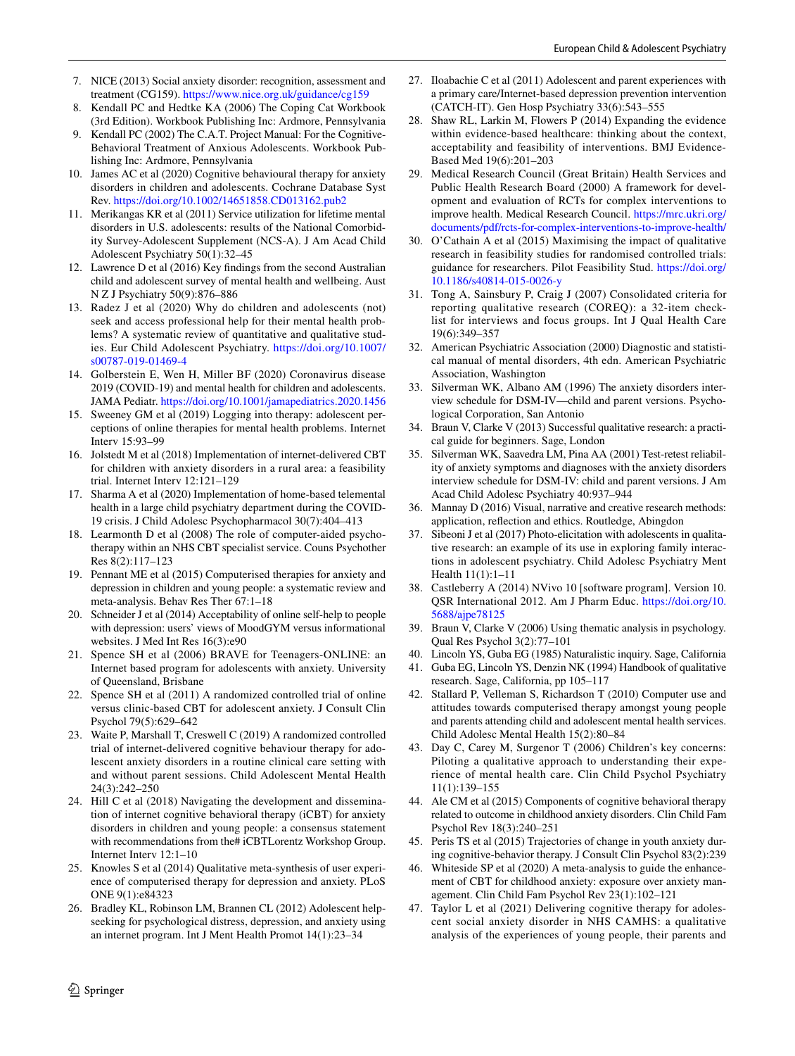- <span id="page-11-0"></span>7. NICE (2013) Social anxiety disorder: recognition, assessment and treatment (CG159).<https://www.nice.org.uk/guidance/cg159>
- <span id="page-11-1"></span>8. Kendall PC and Hedtke KA (2006) The Coping Cat Workbook (3rd Edition). Workbook Publishing Inc: Ardmore, Pennsylvania
- <span id="page-11-2"></span>9. Kendall PC (2002) The C.A.T. Project Manual: For the Cognitive-Behavioral Treatment of Anxious Adolescents. Workbook Publishing Inc: Ardmore, Pennsylvania
- <span id="page-11-3"></span>10. James AC et al (2020) Cognitive behavioural therapy for anxiety disorders in children and adolescents. Cochrane Database Syst Rev.<https://doi.org/10.1002/14651858.CD013162.pub2>
- <span id="page-11-4"></span>11. Merikangas KR et al (2011) Service utilization for lifetime mental disorders in U.S. adolescents: results of the National Comorbidity Survey-Adolescent Supplement (NCS-A). J Am Acad Child Adolescent Psychiatry 50(1):32–45
- <span id="page-11-5"></span>12. Lawrence D et al (2016) Key fndings from the second Australian child and adolescent survey of mental health and wellbeing. Aust N Z J Psychiatry 50(9):876–886
- <span id="page-11-6"></span>13. Radez J et al (2020) Why do children and adolescents (not) seek and access professional help for their mental health problems? A systematic review of quantitative and qualitative studies. Eur Child Adolescent Psychiatry. [https://doi.org/10.1007/](https://doi.org/10.1007/s00787-019-01469-4) [s00787-019-01469-4](https://doi.org/10.1007/s00787-019-01469-4)
- <span id="page-11-7"></span>14. Golberstein E, Wen H, Miller BF (2020) Coronavirus disease 2019 (COVID-19) and mental health for children and adolescents. JAMA Pediatr.<https://doi.org/10.1001/jamapediatrics.2020.1456>
- <span id="page-11-8"></span>15. Sweeney GM et al (2019) Logging into therapy: adolescent perceptions of online therapies for mental health problems. Internet Interv 15:93–99
- <span id="page-11-9"></span>16. Jolstedt M et al (2018) Implementation of internet-delivered CBT for children with anxiety disorders in a rural area: a feasibility trial. Internet Interv 12:121–129
- <span id="page-11-10"></span>17. Sharma A et al (2020) Implementation of home-based telemental health in a large child psychiatry department during the COVID-19 crisis. J Child Adolesc Psychopharmacol 30(7):404–413
- <span id="page-11-11"></span>18. Learmonth D et al (2008) The role of computer-aided psychotherapy within an NHS CBT specialist service. Couns Psychother Res 8(2):117–123
- <span id="page-11-12"></span>19. Pennant ME et al (2015) Computerised therapies for anxiety and depression in children and young people: a systematic review and meta-analysis. Behav Res Ther 67:1–18
- <span id="page-11-13"></span>20. Schneider J et al (2014) Acceptability of online self-help to people with depression: users' views of MoodGYM versus informational websites. J Med Int Res 16(3):e90
- <span id="page-11-14"></span>21. Spence SH et al (2006) BRAVE for Teenagers-ONLINE: an Internet based program for adolescents with anxiety. University of Queensland, Brisbane
- <span id="page-11-15"></span>22. Spence SH et al (2011) A randomized controlled trial of online versus clinic-based CBT for adolescent anxiety. J Consult Clin Psychol 79(5):629–642
- <span id="page-11-16"></span>23. Waite P, Marshall T, Creswell C (2019) A randomized controlled trial of internet-delivered cognitive behaviour therapy for adolescent anxiety disorders in a routine clinical care setting with and without parent sessions. Child Adolescent Mental Health 24(3):242–250
- <span id="page-11-17"></span>24. Hill C et al (2018) Navigating the development and dissemination of internet cognitive behavioral therapy (iCBT) for anxiety disorders in children and young people: a consensus statement with recommendations from the# iCBTLorentz Workshop Group. Internet Interv 12:1–10
- <span id="page-11-18"></span>25. Knowles S et al (2014) Qualitative meta-synthesis of user experience of computerised therapy for depression and anxiety. PLoS ONE 9(1):e84323
- <span id="page-11-19"></span>26. Bradley KL, Robinson LM, Brannen CL (2012) Adolescent helpseeking for psychological distress, depression, and anxiety using an internet program. Int J Ment Health Promot 14(1):23–34
- <span id="page-11-20"></span>27. Iloabachie C et al (2011) Adolescent and parent experiences with a primary care/Internet-based depression prevention intervention (CATCH-IT). Gen Hosp Psychiatry 33(6):543–555
- <span id="page-11-21"></span>28. Shaw RL, Larkin M, Flowers P (2014) Expanding the evidence within evidence-based healthcare: thinking about the context, acceptability and feasibility of interventions. BMJ Evidence-Based Med 19(6):201–203
- <span id="page-11-22"></span>29. Medical Research Council (Great Britain) Health Services and Public Health Research Board (2000) A framework for development and evaluation of RCTs for complex interventions to improve health. Medical Research Council. [https://mrc.ukri.org/](https://mrc.ukri.org/documents/pdf/rcts-for-complex-interventions-to-improve-health/) [documents/pdf/rcts-for-complex-interventions-to-improve-health/](https://mrc.ukri.org/documents/pdf/rcts-for-complex-interventions-to-improve-health/)
- <span id="page-11-23"></span>30. O'Cathain A et al (2015) Maximising the impact of qualitative research in feasibility studies for randomised controlled trials: guidance for researchers. Pilot Feasibility Stud. [https://doi.org/](https://doi.org/10.1186/s40814-015-0026-y) [10.1186/s40814-015-0026-y](https://doi.org/10.1186/s40814-015-0026-y)
- <span id="page-11-24"></span>31. Tong A, Sainsbury P, Craig J (2007) Consolidated criteria for reporting qualitative research (COREQ): a 32-item checklist for interviews and focus groups. Int J Qual Health Care 19(6):349–357
- <span id="page-11-25"></span>32. American Psychiatric Association (2000) Diagnostic and statistical manual of mental disorders, 4th edn. American Psychiatric Association, Washington
- <span id="page-11-27"></span>33. Silverman WK, Albano AM (1996) The anxiety disorders interview schedule for DSM-IV—child and parent versions. Psychological Corporation, San Antonio
- <span id="page-11-26"></span>34. Braun V, Clarke V (2013) Successful qualitative research: a practical guide for beginners. Sage, London
- <span id="page-11-28"></span>35. Silverman WK, Saavedra LM, Pina AA (2001) Test-retest reliability of anxiety symptoms and diagnoses with the anxiety disorders interview schedule for DSM-IV: child and parent versions. J Am Acad Child Adolesc Psychiatry 40:937–944
- <span id="page-11-29"></span>36. Mannay D (2016) Visual, narrative and creative research methods: application, refection and ethics. Routledge, Abingdon
- <span id="page-11-30"></span>37. Sibeoni J et al (2017) Photo-elicitation with adolescents in qualitative research: an example of its use in exploring family interactions in adolescent psychiatry. Child Adolesc Psychiatry Ment Health 11(1):1–11
- <span id="page-11-31"></span>38. Castleberry A (2014) NVivo 10 [software program]. Version 10. QSR International 2012. Am J Pharm Educ. [https://doi.org/10.](https://doi.org/10.5688/ajpe78125) [5688/ajpe78125](https://doi.org/10.5688/ajpe78125)
- <span id="page-11-32"></span>39. Braun V, Clarke V (2006) Using thematic analysis in psychology. Qual Res Psychol 3(2):77–101
- <span id="page-11-33"></span>40. Lincoln YS, Guba EG (1985) Naturalistic inquiry. Sage, California
- <span id="page-11-34"></span>41. Guba EG, Lincoln YS, Denzin NK (1994) Handbook of qualitative research. Sage, California, pp 105–117
- <span id="page-11-35"></span>42. Stallard P, Velleman S, Richardson T (2010) Computer use and attitudes towards computerised therapy amongst young people and parents attending child and adolescent mental health services. Child Adolesc Mental Health 15(2):80–84
- <span id="page-11-36"></span>43. Day C, Carey M, Surgenor T (2006) Children's key concerns: Piloting a qualitative approach to understanding their experience of mental health care. Clin Child Psychol Psychiatry 11(1):139–155
- <span id="page-11-37"></span>44. Ale CM et al (2015) Components of cognitive behavioral therapy related to outcome in childhood anxiety disorders. Clin Child Fam Psychol Rev 18(3):240–251
- 45. Peris TS et al (2015) Trajectories of change in youth anxiety during cognitive-behavior therapy. J Consult Clin Psychol 83(2):239
- <span id="page-11-39"></span>46. Whiteside SP et al (2020) A meta-analysis to guide the enhancement of CBT for childhood anxiety: exposure over anxiety management. Clin Child Fam Psychol Rev 23(1):102–121
- <span id="page-11-38"></span>47. Taylor L et al (2021) Delivering cognitive therapy for adolescent social anxiety disorder in NHS CAMHS: a qualitative analysis of the experiences of young people, their parents and